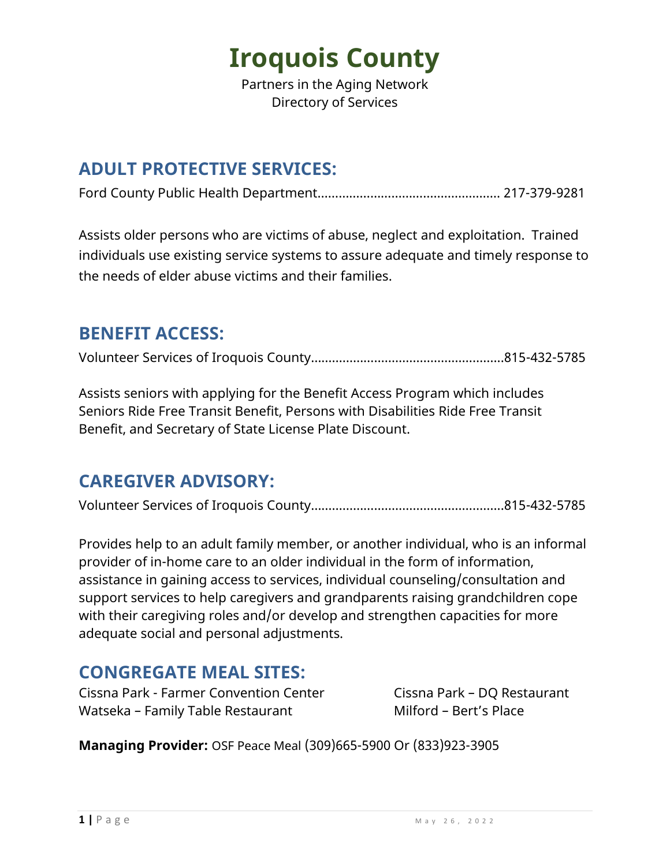Partners in the Aging Network Directory of Services

#### **ADULT PROTECTIVE SERVICES:**

Ford County Public Health Department……………………………………………. 217-379-9281

Assists older persons who are victims of abuse, neglect and exploitation. Trained individuals use existing service systems to assure adequate and timely response to the needs of elder abuse victims and their families.

#### **BENEFIT ACCESS:**

Volunteer Services of Iroquois County……………………………………….……...815-432-5785

Assists seniors with applying for the Benefit Access Program which includes Seniors Ride Free Transit Benefit, Persons with Disabilities Ride Free Transit Benefit, and Secretary of State License Plate Discount.

#### **CAREGIVER ADVISORY:**

Volunteer Services of Iroquois County……………………………………….……...815-432-5785

Provides help to an adult family member, or another individual, who is an informal provider of in-home care to an older individual in the form of information, assistance in gaining access to services, individual counseling/consultation and support services to help caregivers and grandparents raising grandchildren cope with their caregiving roles and/or develop and strengthen capacities for more adequate social and personal adjustments.

#### **CONGREGATE MEAL SITES:**

Cissna Park - Farmer Convention Center Cissna Park - DQ Restaurant Watseka – Family Table Restaurant Milford – Bert's Place

**Managing Provider:** OSF Peace Meal (309)665-5900 Or (833)923-3905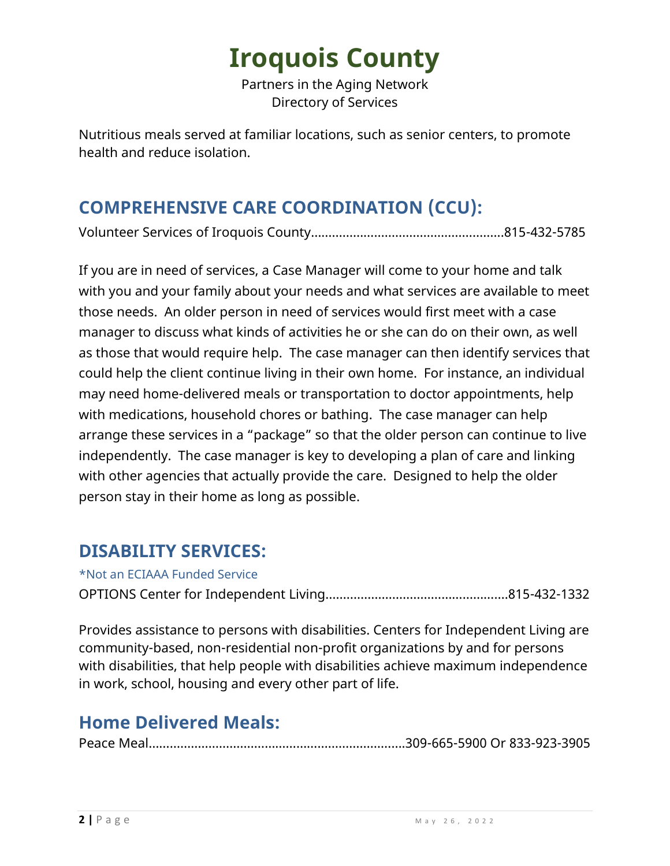Partners in the Aging Network Directory of Services

Nutritious meals served at familiar locations, such as senior centers, to promote health and reduce isolation.

### **COMPREHENSIVE CARE COORDINATION (CCU):**

Volunteer Services of Iroquois County……………………………………….……...815-432-5785

If you are in need of services, a Case Manager will come to your home and talk with you and your family about your needs and what services are available to meet those needs. An older person in need of services would first meet with a case manager to discuss what kinds of activities he or she can do on their own, as well as those that would require help. The case manager can then identify services that could help the client continue living in their own home. For instance, an individual may need home-delivered meals or transportation to doctor appointments, help with medications, household chores or bathing. The case manager can help arrange these services in a "package" so that the older person can continue to live independently. The case manager is key to developing a plan of care and linking with other agencies that actually provide the care. Designed to help the older person stay in their home as long as possible.

#### **DISABILITY SERVICES:**

\*Not an ECIAAA Funded Service

OPTIONS Center for Independent Living…………………………………………….815-432-1332

Provides assistance to persons with disabilities. Centers for Independent Living are community-based, non-residential non-profit organizations by and for persons with disabilities, that help people with disabilities achieve maximum independence in work, school, housing and every other part of life.

#### **Home Delivered Meals:**

Peace Meal……………………………………………………………….309-665-5900 Or 833-923-3905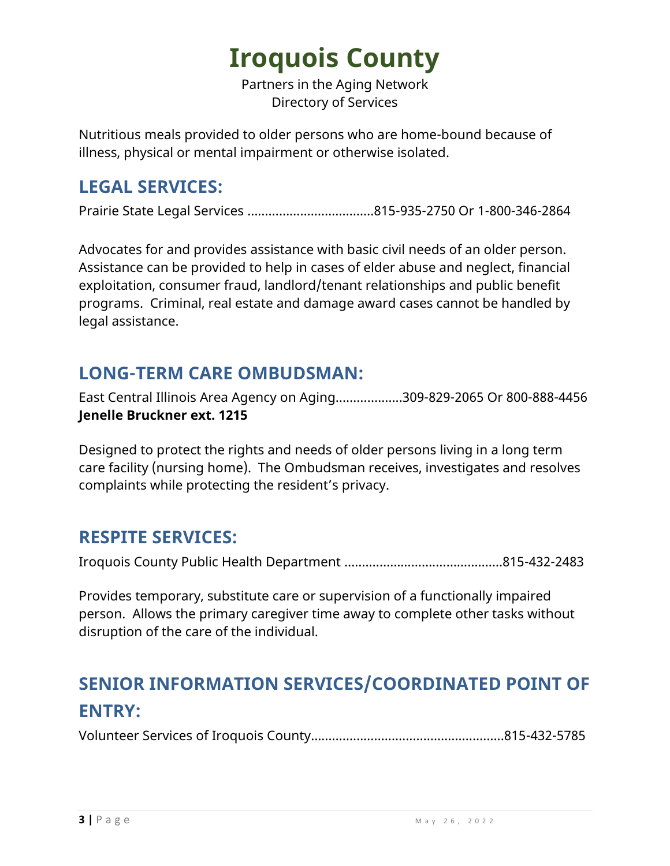Partners in the Aging Network Directory of Services

Nutritious meals provided to older persons who are home-bound because of illness, physical or mental impairment or otherwise isolated.

#### **LEGAL SERVICES:**

Prairie State Legal Services ………………………………815-935-2750 Or 1-800-346-2864

Advocates for and provides assistance with basic civil needs of an older person. Assistance can be provided to help in cases of elder abuse and neglect, financial exploitation, consumer fraud, landlord/tenant relationships and public benefit programs. Criminal, real estate and damage award cases cannot be handled by legal assistance.

#### **LONG-TERM CARE OMBUDSMAN:**

East Central Illinois Area Agency on Aging……….……...309-829-2065 Or 800-888-4456 **Jenelle Bruckner ext. 1215**

Designed to protect the rights and needs of older persons living in a long term care facility (nursing home). The Ombudsman receives, investigates and resolves complaints while protecting the resident's privacy.

#### **RESPITE SERVICES:**

Iroquois County Public Health Department …….……………….……………….815-432-2483

Provides temporary, substitute care or supervision of a functionally impaired person. Allows the primary caregiver time away to complete other tasks without disruption of the care of the individual.

### **SENIOR INFORMATION SERVICES/COORDINATED POINT OF ENTRY:**

Volunteer Services of Iroquois County……………………………………….……...815-432-5785